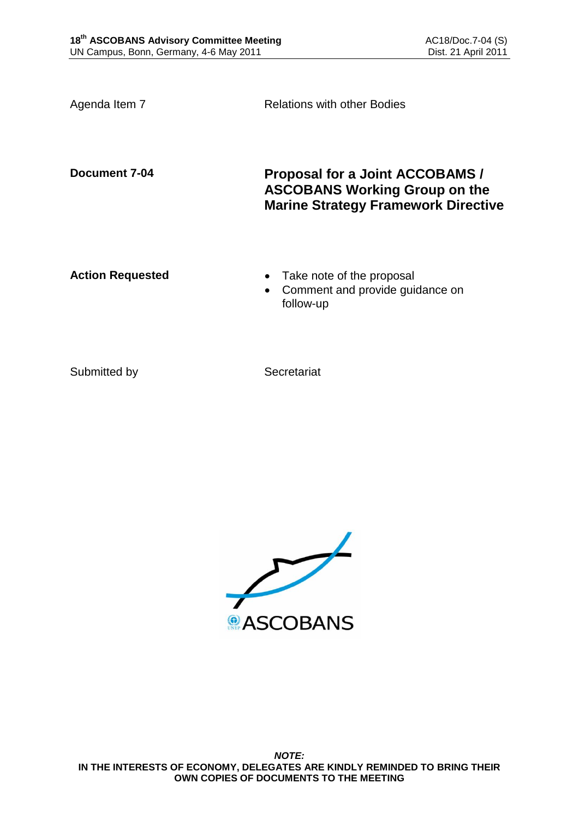Agenda Item 7 **Relations with other Bodies** 

**Document 7-04 Proposal for a Joint ACCOBAMS / ASCOBANS Working Group on the Marine Strategy Framework Directive**

- **Action Requested Take note of the proposal** 
	- Comment and provide guidance on follow-up

Submitted by Secretariat

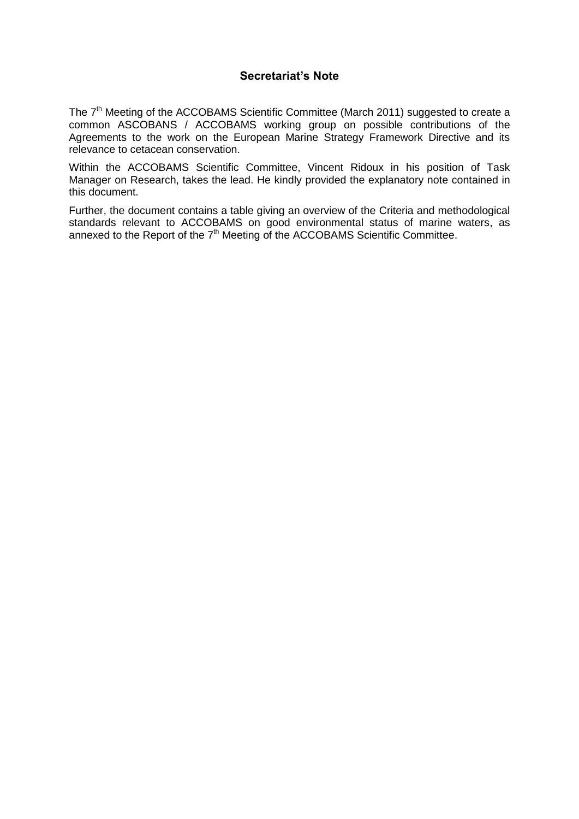## **Secretariat's Note**

The 7<sup>th</sup> Meeting of the ACCOBAMS Scientific Committee (March 2011) suggested to create a common ASCOBANS / ACCOBAMS working group on possible contributions of the Agreements to the work on the European Marine Strategy Framework Directive and its relevance to cetacean conservation.

Within the ACCOBAMS Scientific Committee, Vincent Ridoux in his position of Task Manager on Research, takes the lead. He kindly provided the explanatory note contained in this document.

Further, the document contains a table giving an overview of the Criteria and methodological standards relevant to ACCOBAMS on good environmental status of marine waters, as annexed to the Report of the 7<sup>th</sup> Meeting of the ACCOBAMS Scientific Committee.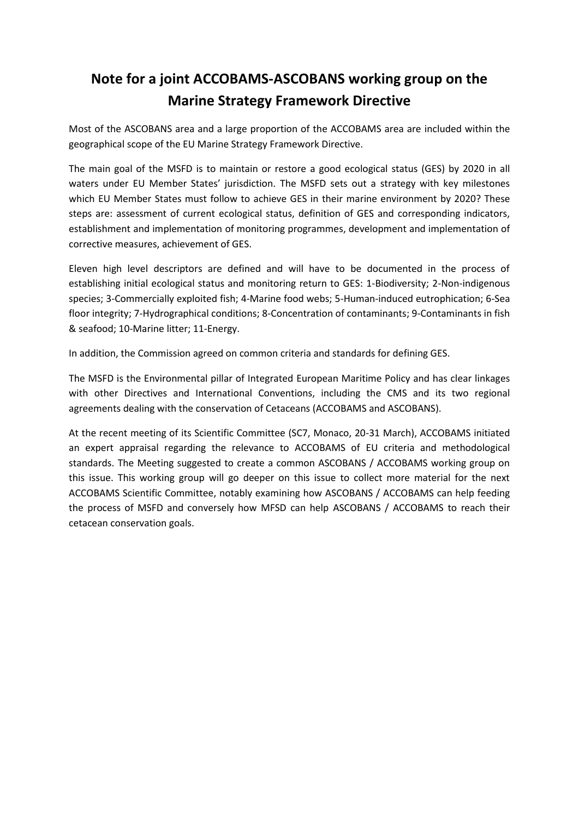## **Note for a joint ACCOBAMS-ASCOBANS working group on the Marine Strategy Framework Directive**

Most of the ASCOBANS area and a large proportion of the ACCOBAMS area are included within the geographical scope of the EU Marine Strategy Framework Directive.

The main goal of the MSFD is to maintain or restore a good ecological status (GES) by 2020 in all waters under EU Member States' jurisdiction. The MSFD sets out a strategy with key milestones which EU Member States must follow to achieve GES in their marine environment by 2020? These steps are: assessment of current ecological status, definition of GES and corresponding indicators, establishment and implementation of monitoring programmes, development and implementation of corrective measures, achievement of GES.

Eleven high level descriptors are defined and will have to be documented in the process of establishing initial ecological status and monitoring return to GES: 1-Biodiversity; 2-Non-indigenous species; 3-Commercially exploited fish; 4-Marine food webs; 5-Human‐induced eutrophication; 6-Sea floor integrity; 7-Hydrographical conditions; 8-Concentration of contaminants; 9-Contaminants in fish & seafood; 10-Marine litter; 11-Energy.

In addition, the Commission agreed on common criteria and standards for defining GES.

The MSFD is the Environmental pillar of Integrated European Maritime Policy and has clear linkages with other Directives and International Conventions, including the CMS and its two regional agreements dealing with the conservation of Cetaceans (ACCOBAMS and ASCOBANS).

At the recent meeting of its Scientific Committee (SC7, Monaco, 20-31 March), ACCOBAMS initiated an expert appraisal regarding the relevance to ACCOBAMS of EU criteria and methodological standards. The Meeting suggested to create a common ASCOBANS / ACCOBAMS working group on this issue. This working group will go deeper on this issue to collect more material for the next ACCOBAMS Scientific Committee, notably examining how ASCOBANS / ACCOBAMS can help feeding the process of MSFD and conversely how MFSD can help ASCOBANS / ACCOBAMS to reach their cetacean conservation goals.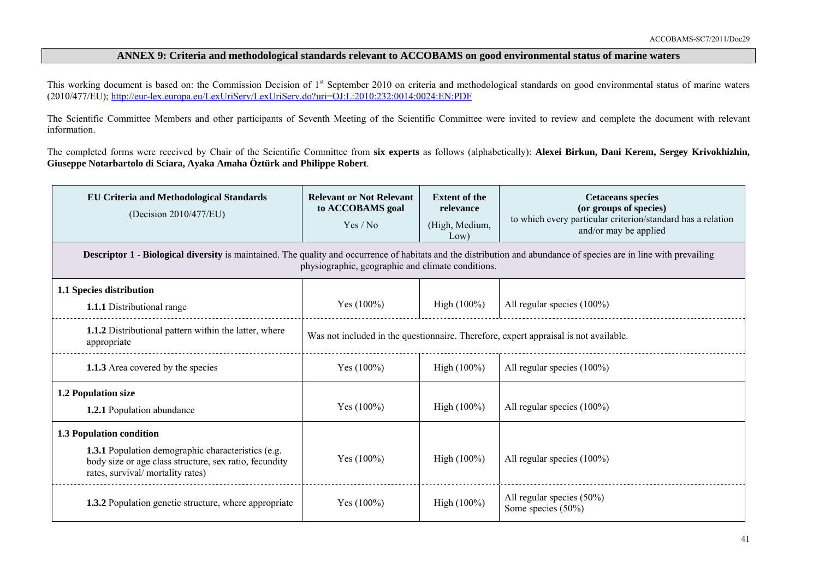## **ANNEX 9: Criteria and methodological standards relevant to ACCOBAMS on good environmental status of marine waters**

This working document is based on: the Commission Decision of 1<sup>st</sup> September 2010 on criteria and methodological standards on good environmental status of marine waters (2010/477/EU);<http://eur-lex.europa.eu/LexUriServ/LexUriServ.do?uri=OJ:L:2010:232:0014:0024:EN:PDF>

The Scientific Committee Members and other participants of Seventh Meeting of the Scientific Committee were invited to review and complete the document with relevant information.

The completed forms were received by Chair of the Scientific Committee from **six experts** as follows (alphabetically): **Alexei Birkun, Dani Kerem, Sergey Krivokhizhin, Giuseppe Notarbartolo di Sciara, Ayaka Amaha Öztürk and Philippe Robert**.

| <b>EU Criteria and Methodological Standards</b><br>(Decision 2010/477/EU)                                                                                                                                                       | <b>Relevant or Not Relevant</b><br>to ACCOBAMS goal<br>Yes / No                      | <b>Extent of the</b><br>relevance<br>(High, Medium,<br>Low) | <b>Cetaceans species</b><br>(or groups of species)<br>to which every particular criterion/standard has a relation<br>and/or may be applied |  |
|---------------------------------------------------------------------------------------------------------------------------------------------------------------------------------------------------------------------------------|--------------------------------------------------------------------------------------|-------------------------------------------------------------|--------------------------------------------------------------------------------------------------------------------------------------------|--|
| <b>Descriptor 1 - Biological diversity</b> is maintained. The quality and occurrence of habitats and the distribution and abundance of species are in line with prevailing<br>physiographic, geographic and climate conditions. |                                                                                      |                                                             |                                                                                                                                            |  |
| 1.1 Species distribution                                                                                                                                                                                                        |                                                                                      |                                                             |                                                                                                                                            |  |
| <b>1.1.1</b> Distributional range                                                                                                                                                                                               | Yes $(100\%)$                                                                        | High $(100\%)$                                              | All regular species (100%)                                                                                                                 |  |
| 1.1.2 Distributional pattern within the latter, where<br>appropriate                                                                                                                                                            | Was not included in the questionnaire. Therefore, expert appraisal is not available. |                                                             |                                                                                                                                            |  |
| 1.1.3 Area covered by the species                                                                                                                                                                                               | Yes $(100\%)$                                                                        | High $(100\%)$                                              | All regular species (100%)                                                                                                                 |  |
| 1.2 Population size                                                                                                                                                                                                             |                                                                                      |                                                             |                                                                                                                                            |  |
| 1.2.1 Population abundance                                                                                                                                                                                                      | Yes $(100\%)$                                                                        | High $(100\%)$                                              | All regular species (100%)                                                                                                                 |  |
| 1.3 Population condition                                                                                                                                                                                                        |                                                                                      |                                                             |                                                                                                                                            |  |
| <b>1.3.1</b> Population demographic characteristics (e.g.<br>body size or age class structure, sex ratio, fecundity<br>rates, survival/mortality rates)                                                                         | Yes $(100\%)$                                                                        | High (100%)                                                 | All regular species (100%)                                                                                                                 |  |
| <b>1.3.2</b> Population genetic structure, where appropriate                                                                                                                                                                    | Yes $(100\%)$                                                                        | High $(100\%)$                                              | All regular species (50%)<br>Some species $(50\%)$                                                                                         |  |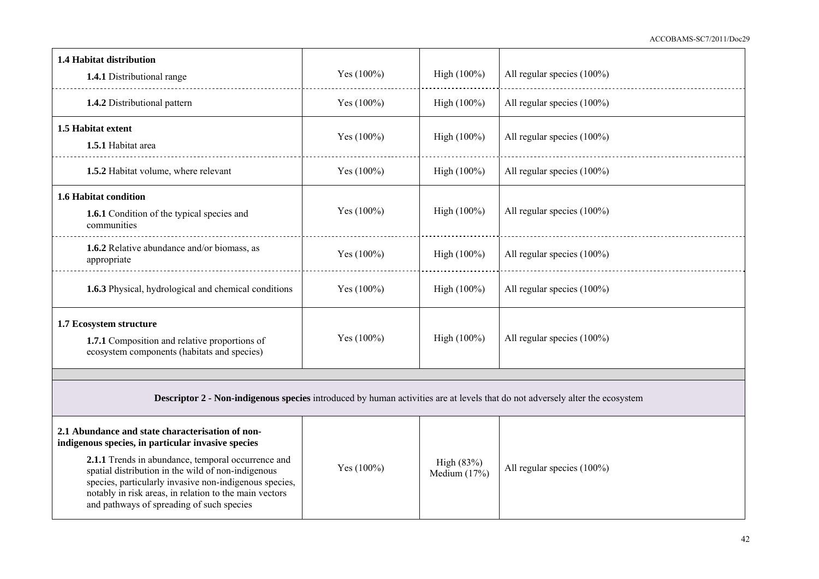| 1.4 Habitat distribution<br>1.4.1 Distributional range                                                                                                                                                                                                                                                                                                                              | Yes (100%)    | High (100%)                  | All regular species (100%)    |  |
|-------------------------------------------------------------------------------------------------------------------------------------------------------------------------------------------------------------------------------------------------------------------------------------------------------------------------------------------------------------------------------------|---------------|------------------------------|-------------------------------|--|
| 1.4.2 Distributional pattern                                                                                                                                                                                                                                                                                                                                                        | Yes $(100\%)$ | High (100%)                  | All regular species (100%)    |  |
| 1.5 Habitat extent<br>1.5.1 Habitat area                                                                                                                                                                                                                                                                                                                                            | Yes $(100\%)$ | High $(100\%)$               | All regular species (100%)    |  |
| 1.5.2 Habitat volume, where relevant                                                                                                                                                                                                                                                                                                                                                | Yes $(100\%)$ | High (100%)                  | All regular species (100%)    |  |
| 1.6 Habitat condition<br>1.6.1 Condition of the typical species and<br>communities                                                                                                                                                                                                                                                                                                  | Yes $(100\%)$ | High $(100\%)$               | All regular species $(100\%)$ |  |
| 1.6.2 Relative abundance and/or biomass, as<br>appropriate                                                                                                                                                                                                                                                                                                                          | Yes $(100\%)$ | High $(100\%)$               | All regular species (100%)    |  |
| 1.6.3 Physical, hydrological and chemical conditions                                                                                                                                                                                                                                                                                                                                | Yes $(100\%)$ | High $(100\%)$               | All regular species (100%)    |  |
| 1.7 Ecosystem structure<br>1.7.1 Composition and relative proportions of<br>ecosystem components (habitats and species)                                                                                                                                                                                                                                                             | Yes $(100\%)$ | High (100%)                  | All regular species (100%)    |  |
|                                                                                                                                                                                                                                                                                                                                                                                     |               |                              |                               |  |
| <b>Descriptor 2 - Non-indigenous species</b> introduced by human activities are at levels that do not adversely alter the ecosystem                                                                                                                                                                                                                                                 |               |                              |                               |  |
| 2.1 Abundance and state characterisation of non-<br>indigenous species, in particular invasive species<br>2.1.1 Trends in abundance, temporal occurrence and<br>spatial distribution in the wild of non-indigenous<br>species, particularly invasive non-indigenous species,<br>notably in risk areas, in relation to the main vectors<br>and pathways of spreading of such species | Yes $(100\%)$ | High (83%)<br>Medium $(17%)$ | All regular species (100%)    |  |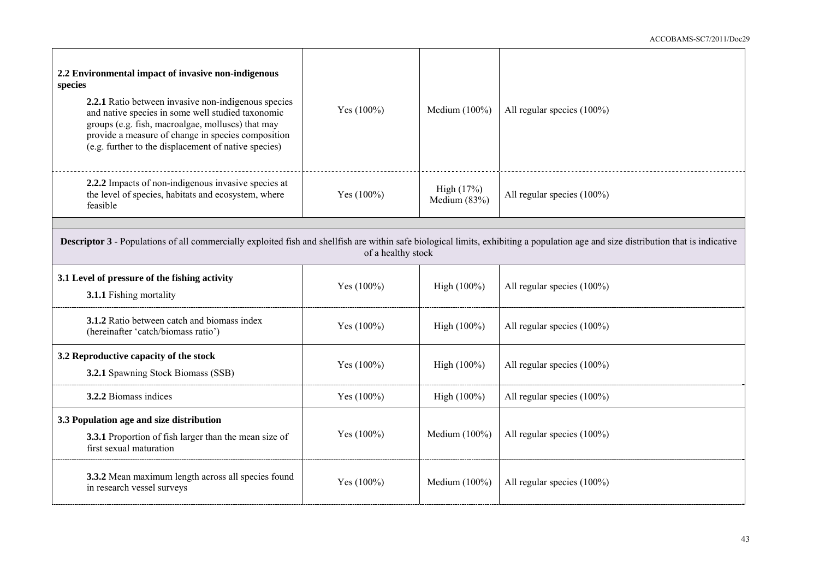| 2.2 Environmental impact of invasive non-indigenous<br>species<br>2.2.1 Ratio between invasive non-indigenous species<br>and native species in some well studied taxonomic<br>groups (e.g. fish, macroalgae, molluscs) that may<br>provide a measure of change in species composition<br>(e.g. further to the displacement of native species) | Yes (100%)         | Medium $(100\%)$           | All regular species (100%)    |
|-----------------------------------------------------------------------------------------------------------------------------------------------------------------------------------------------------------------------------------------------------------------------------------------------------------------------------------------------|--------------------|----------------------------|-------------------------------|
| 2.2.2 Impacts of non-indigenous invasive species at<br>the level of species, habitats and ecosystem, where<br>feasible                                                                                                                                                                                                                        | Yes (100%)         | High (17%)<br>Medium (83%) | All regular species (100%)    |
|                                                                                                                                                                                                                                                                                                                                               |                    |                            |                               |
| <b>Descriptor 3 - Populations of all commercially exploited fish and shellfish are within safe biological limits, exhibiting a population age and size distribution that is indicative</b>                                                                                                                                                    | of a healthy stock |                            |                               |
| 3.1 Level of pressure of the fishing activity<br>3.1.1 Fishing mortality                                                                                                                                                                                                                                                                      | Yes $(100\%)$      | High $(100\%)$             | All regular species $(100\%)$ |
| 3.1.2 Ratio between catch and biomass index<br>(hereinafter 'catch/biomass ratio')                                                                                                                                                                                                                                                            | Yes $(100\%)$      | High $(100\%)$             | All regular species (100%)    |
| 3.2 Reproductive capacity of the stock<br>3.2.1 Spawning Stock Biomass (SSB)                                                                                                                                                                                                                                                                  | Yes $(100\%)$      | High $(100\%)$             | All regular species (100%)    |
| 3.2.2 Biomass indices                                                                                                                                                                                                                                                                                                                         | Yes $(100\%)$      | High $(100\%)$             | All regular species $(100\%)$ |
| 3.3 Population age and size distribution<br>3.3.1 Proportion of fish larger than the mean size of<br>first sexual maturation                                                                                                                                                                                                                  | Yes $(100\%)$      | Medium $(100\%)$           | All regular species (100%)    |
| 3.3.2 Mean maximum length across all species found<br>in research vessel surveys                                                                                                                                                                                                                                                              | Yes $(100\%)$      | Medium $(100\%)$           | All regular species (100%)    |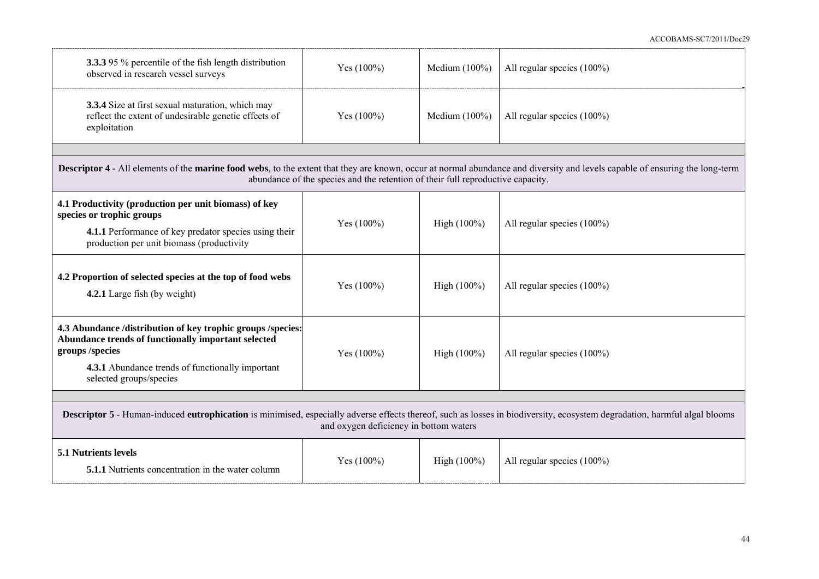| <b>3.3.3</b> 95 % percentile of the fish length distribution<br>observed in research vessel surveys                                                                                                                        | Yes $(100\%)$                                                                   | Medium $(100\%)$ | All regular species (100%)    |  |
|----------------------------------------------------------------------------------------------------------------------------------------------------------------------------------------------------------------------------|---------------------------------------------------------------------------------|------------------|-------------------------------|--|
| 3.3.4 Size at first sexual maturation, which may<br>reflect the extent of undesirable genetic effects of<br>exploitation                                                                                                   | Yes $(100\%)$                                                                   | Medium $(100\%)$ | All regular species (100%)    |  |
|                                                                                                                                                                                                                            |                                                                                 |                  |                               |  |
| <b>Descriptor 4 - All elements of the marine food webs</b> , to the extent that they are known, occur at normal abundance and diversity and levels capable of ensuring the long-term                                       | abundance of the species and the retention of their full reproductive capacity. |                  |                               |  |
| 4.1 Productivity (production per unit biomass) of key<br>species or trophic groups<br>4.1.1 Performance of key predator species using their<br>production per unit biomass (productivity                                   | Yes (100%)                                                                      | High $(100\%)$   | All regular species (100%)    |  |
| 4.2 Proportion of selected species at the top of food webs<br>4.2.1 Large fish (by weight)                                                                                                                                 | Yes $(100\%)$                                                                   | High $(100\%)$   | All regular species $(100\%)$ |  |
| 4.3 Abundance /distribution of key trophic groups /species:<br>Abundance trends of functionally important selected<br>groups /species<br>4.3.1 Abundance trends of functionally important<br>selected groups/species       | Yes $(100\%)$                                                                   | High $(100\%)$   | All regular species $(100\%)$ |  |
|                                                                                                                                                                                                                            |                                                                                 |                  |                               |  |
| <b>Descriptor 5 - Human-induced eutrophication</b> is minimised, especially adverse effects thereof, such as losses in biodiversity, ecosystem degradation, harmful algal blooms<br>and oxygen deficiency in bottom waters |                                                                                 |                  |                               |  |
| 5.1 Nutrients levels<br><b>5.1.1</b> Nutrients concentration in the water column                                                                                                                                           | Yes $(100\%)$                                                                   | High $(100\%)$   | All regular species $(100\%)$ |  |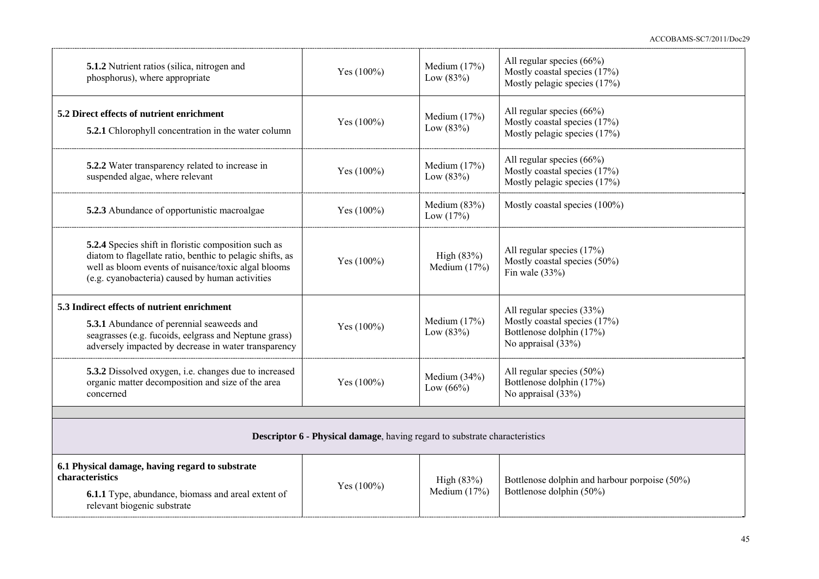ACCOBAMS-SC7/2011/Doc29

| 5.1.2 Nutrient ratios (silica, nitrogen and<br>phosphorus), where appropriate                                                                                                                                               | Yes $(100\%)$ | Medium $(17%)$<br>Low $(83%)$  | All regular species $(66\%)$<br>Mostly coastal species (17%)<br>Mostly pelagic species (17%)                |  |
|-----------------------------------------------------------------------------------------------------------------------------------------------------------------------------------------------------------------------------|---------------|--------------------------------|-------------------------------------------------------------------------------------------------------------|--|
| 5.2 Direct effects of nutrient enrichment<br>5.2.1 Chlorophyll concentration in the water column                                                                                                                            | Yes $(100\%)$ | Medium $(17%)$<br>Low $(83%)$  | All regular species $(66\%)$<br>Mostly coastal species (17%)<br>Mostly pelagic species (17%)                |  |
| 5.2.2 Water transparency related to increase in<br>suspended algae, where relevant                                                                                                                                          | Yes (100%)    | Medium $(17%)$<br>Low $(83%)$  | All regular species $(66\%)$<br>Mostly coastal species (17%)<br>Mostly pelagic species (17%)                |  |
| 5.2.3 Abundance of opportunistic macroalgae                                                                                                                                                                                 | Yes $(100\%)$ | Medium $(83%)$<br>Low $(17%)$  | Mostly coastal species (100%)                                                                               |  |
| 5.2.4 Species shift in floristic composition such as<br>diatom to flagellate ratio, benthic to pelagic shifts, as<br>well as bloom events of nuisance/toxic algal blooms<br>(e.g. cyanobacteria) caused by human activities | Yes $(100\%)$ | High $(83%)$<br>Medium $(17%)$ | All regular species (17%)<br>Mostly coastal species (50%)<br>Fin wale $(33%)$                               |  |
| 5.3 Indirect effects of nutrient enrichment<br>5.3.1 Abundance of perennial seaweeds and<br>seagrasses (e.g. fucoids, eelgrass and Neptune grass)<br>adversely impacted by decrease in water transparency                   | Yes $(100\%)$ | Medium $(17%)$<br>Low $(83%)$  | All regular species (33%)<br>Mostly coastal species (17%)<br>Bottlenose dolphin (17%)<br>No appraisal (33%) |  |
| 5.3.2 Dissolved oxygen, i.e. changes due to increased<br>organic matter decomposition and size of the area<br>concerned                                                                                                     | Yes $(100\%)$ | Medium (34%)<br>Low $(66%)$    | All regular species (50%)<br>Bottlenose dolphin (17%)<br>No appraisal (33%)                                 |  |
| <b>Descriptor 6 - Physical damage</b> , having regard to substrate characteristics                                                                                                                                          |               |                                |                                                                                                             |  |
| 6.1 Physical damage, having regard to substrate<br>characteristics<br>6.1.1 Type, abundance, biomass and areal extent of<br>relevant biogenic substrate                                                                     | Yes $(100\%)$ | High $(83%)$<br>Medium $(17%)$ | Bottlenose dolphin and harbour porpoise (50%)<br>Bottlenose dolphin (50%)                                   |  |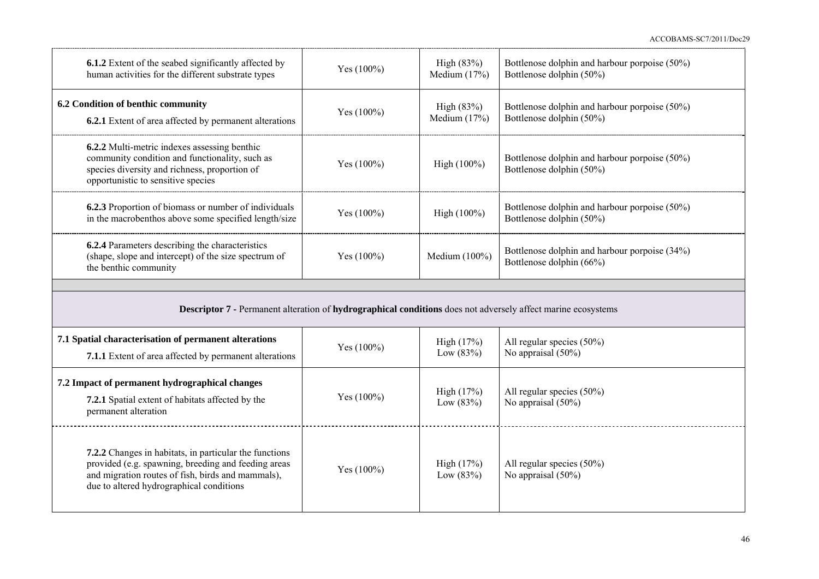ACCOBAMS-SC7/2011/Doc29

| <b>6.1.2</b> Extent of the seabed significantly affected by<br>human activities for the different substrate types                                                                     | Yes $(100\%)$ | High (83%)<br>Medium $(17%)$ | Bottlenose dolphin and harbour porpoise (50%)<br>Bottlenose dolphin (50%) |  |  |
|---------------------------------------------------------------------------------------------------------------------------------------------------------------------------------------|---------------|------------------------------|---------------------------------------------------------------------------|--|--|
| 6.2 Condition of benthic community<br>6.2.1 Extent of area affected by permanent alterations                                                                                          | Yes $(100\%)$ | High (83%)<br>Medium $(17%)$ | Bottlenose dolphin and harbour porpoise (50%)<br>Bottlenose dolphin (50%) |  |  |
| 6.2.2 Multi-metric indexes assessing benthic<br>community condition and functionality, such as<br>species diversity and richness, proportion of<br>opportunistic to sensitive species | Yes $(100\%)$ | High (100%)                  | Bottlenose dolphin and harbour porpoise (50%)<br>Bottlenose dolphin (50%) |  |  |
| 6.2.3 Proportion of biomass or number of individuals<br>in the macrobenthos above some specified length/size                                                                          | Yes $(100\%)$ | High (100%)                  | Bottlenose dolphin and harbour porpoise (50%)<br>Bottlenose dolphin (50%) |  |  |
| 6.2.4 Parameters describing the characteristics<br>(shape, slope and intercept) of the size spectrum of<br>the benthic community                                                      | Yes $(100\%)$ | Medium (100%)                | Bottlenose dolphin and harbour porpoise (34%)<br>Bottlenose dolphin (66%) |  |  |
|                                                                                                                                                                                       |               |                              |                                                                           |  |  |
|                                                                                                                                                                                       |               |                              |                                                                           |  |  |
| Descriptor 7 - Permanent alteration of hydrographical conditions does not adversely affect marine ecosystems                                                                          |               |                              |                                                                           |  |  |
| 7.1 Spatial characterisation of permanent alterations<br>7.1.1 Extent of area affected by permanent alterations                                                                       | Yes (100%)    | High (17%)<br>Low $(83%)$    | All regular species (50%)<br>No appraisal $(50\%)$                        |  |  |
| 7.2 Impact of permanent hydrographical changes<br>7.2.1 Spatial extent of habitats affected by the<br>permanent alteration                                                            | Yes $(100\%)$ | High (17%)<br>Low $(83%)$    | All regular species (50%)<br>No appraisal $(50\%)$                        |  |  |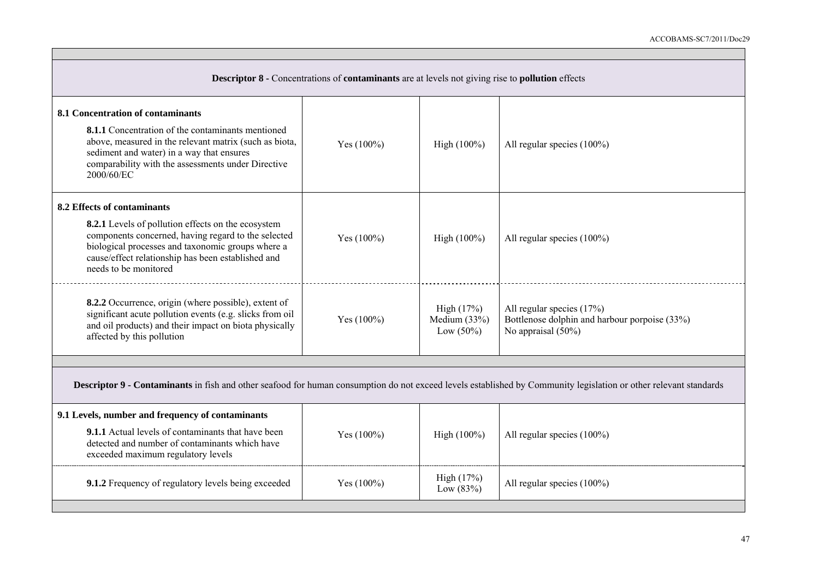| <b>Descriptor 8 - Concentrations of contaminants are at levels not giving rise to pollution effects</b>                                                                                                                                       |               |                                              |                                                                                                       |  |  |
|-----------------------------------------------------------------------------------------------------------------------------------------------------------------------------------------------------------------------------------------------|---------------|----------------------------------------------|-------------------------------------------------------------------------------------------------------|--|--|
| 8.1 Concentration of contaminants                                                                                                                                                                                                             |               |                                              |                                                                                                       |  |  |
| <b>8.1.1</b> Concentration of the contaminants mentioned<br>above, measured in the relevant matrix (such as biota,<br>sediment and water) in a way that ensures<br>comparability with the assessments under Directive<br>2000/60/EC           | Yes (100%)    | High $(100\%)$                               | All regular species (100%)                                                                            |  |  |
| 8.2 Effects of contaminants                                                                                                                                                                                                                   |               |                                              |                                                                                                       |  |  |
| 8.2.1 Levels of pollution effects on the ecosystem<br>components concerned, having regard to the selected<br>biological processes and taxonomic groups where a<br>cause/effect relationship has been established and<br>needs to be monitored | Yes $(100\%)$ | High (100%)                                  | All regular species $(100\%)$                                                                         |  |  |
| 8.2.2 Occurrence, origin (where possible), extent of<br>significant acute pollution events (e.g. slicks from oil<br>and oil products) and their impact on biota physically<br>affected by this pollution                                      | Yes $(100\%)$ | High (17%)<br>Medium $(33%)$<br>Low $(50\%)$ | All regular species $(17%)$<br>Bottlenose dolphin and harbour porpoise (33%)<br>No appraisal $(50\%)$ |  |  |
|                                                                                                                                                                                                                                               |               |                                              |                                                                                                       |  |  |
| Descriptor 9 - Contaminants in fish and other seafood for human consumption do not exceed levels established by Community legislation or other relevant standards                                                                             |               |                                              |                                                                                                       |  |  |
| 9.1 Levels, number and frequency of contaminants                                                                                                                                                                                              |               |                                              |                                                                                                       |  |  |
| <b>9.1.1</b> Actual levels of contaminants that have been<br>detected and number of contaminants which have<br>exceeded maximum regulatory levels                                                                                             | Yes $(100\%)$ | High $(100\%)$                               | All regular species (100%)                                                                            |  |  |
| 9.1.2 Frequency of regulatory levels being exceeded                                                                                                                                                                                           | Yes $(100\%)$ | High $(17%)$<br>Low $(83%)$                  | All regular species $(100\%)$                                                                         |  |  |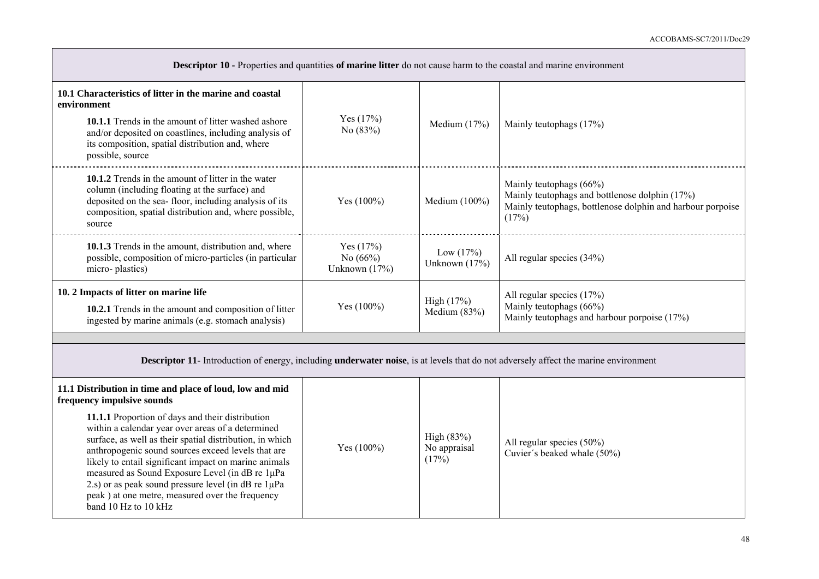| <b>Descriptor 10 - Properties and quantities of marine litter do not cause harm to the coastal and marine environment</b>                                                                                                                                                                                         |                                            |                                     |                                                                                                                                                  |
|-------------------------------------------------------------------------------------------------------------------------------------------------------------------------------------------------------------------------------------------------------------------------------------------------------------------|--------------------------------------------|-------------------------------------|--------------------------------------------------------------------------------------------------------------------------------------------------|
| 10.1 Characteristics of litter in the marine and coastal<br>environment<br>10.1.1 Trends in the amount of litter washed ashore<br>and/or deposited on coastlines, including analysis of<br>its composition, spatial distribution and, where<br>possible, source                                                   | Yes $(17%)$<br>No $(83%)$                  | Medium $(17%)$                      | Mainly teutophags (17%)                                                                                                                          |
| 10.1.2 Trends in the amount of litter in the water<br>column (including floating at the surface) and<br>deposited on the sea-floor, including analysis of its<br>composition, spatial distribution and, where possible,<br>source                                                                                 | Yes $(100\%)$                              | Medium (100%)                       | Mainly teutophags (66%)<br>Mainly teutophags and bottlenose dolphin (17%)<br>Mainly teutophags, bottlenose dolphin and harbour porpoise<br>(17%) |
| 10.1.3 Trends in the amount, distribution and, where<br>possible, composition of micro-particles (in particular<br>micro-plastics)                                                                                                                                                                                | Yes $(17%)$<br>No $(66%)$<br>Unknown (17%) | Low $(17%)$<br>Unknown (17%)        | All regular species (34%)                                                                                                                        |
| 10. 2 Impacts of litter on marine life<br>10.2.1 Trends in the amount and composition of litter<br>ingested by marine animals (e.g. stomach analysis)                                                                                                                                                             | Yes $(100\%)$                              | High $(17%)$<br>Medium $(83%)$      | All regular species (17%)<br>Mainly teutophags (66%)<br>Mainly teutophags and harbour porpoise (17%)                                             |
| <b>Descriptor 11-</b> Introduction of energy, including <b>underwater noise</b> , is at levels that do not adversely affect the marine environment                                                                                                                                                                |                                            |                                     |                                                                                                                                                  |
| 11.1 Distribution in time and place of loud, low and mid<br>frequency impulsive sounds<br>11.1.1 Proportion of days and their distribution<br>within a calendar year over areas of a determined<br>surface, as well as their spatial distribution, in which<br>anthropogenic sound sources exceed levels that are | Yes $(100\%)$                              | High (83%)<br>No appraisal<br>(17%) | All regular species (50%)<br>Cuvier's beaked whale (50%)                                                                                         |

likely to entail significant impact on marine animals measured as Sound Exposure Level (in dB re 1μPa 2.s) or as peak sound pressure level (in dB re  $1\mu$ Pa peak ) at one metre, measured over the frequency

band 10 Hz to 10 kHz